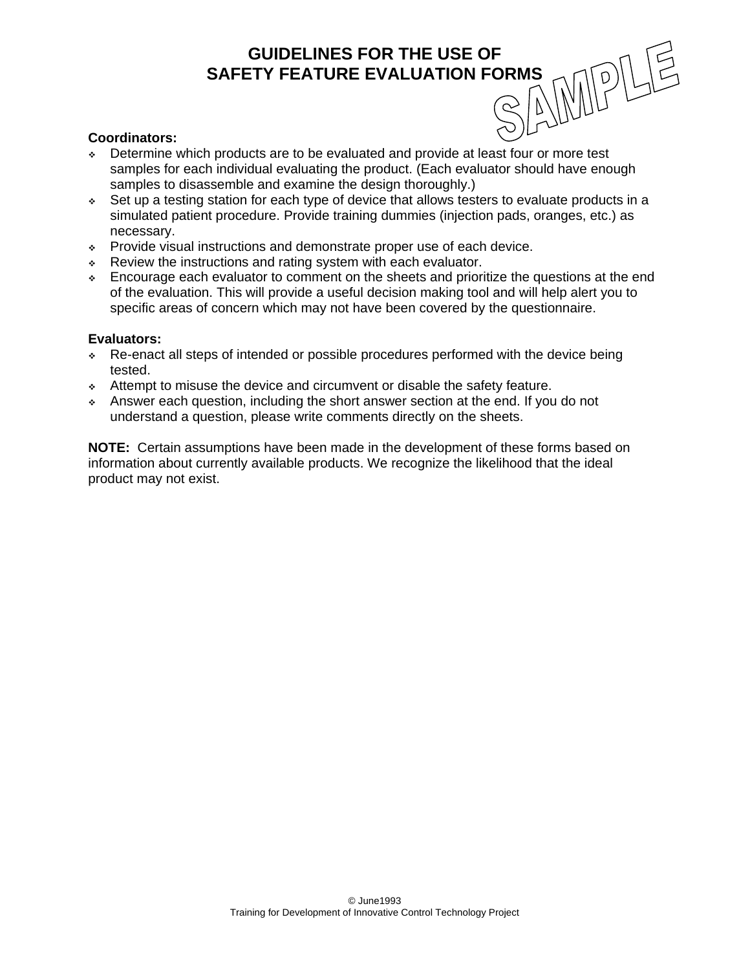## **SAFETY FEATURE EVALUATION FORMS**

**GUIDELINES FOR THE USE OF<br>ETY FEATURE EVALUATION FORMS<br>
COMPUTE THE USE OF AN AND PORMS** 

#### **Coordinators:**

- Determine which products are to be evaluated and provide at least four or more test samples for each individual evaluating the product. (Each evaluator should have enough samples to disassemble and examine the design thoroughly.)
- Set up a testing station for each type of device that allows testers to evaluate products in a simulated patient procedure. Provide training dummies (injection pads, oranges, etc.) as necessary.
- Provide visual instructions and demonstrate proper use of each device.
- \* Review the instructions and rating system with each evaluator.
- Encourage each evaluator to comment on the sheets and prioritize the questions at the end of the evaluation. This will provide a useful decision making tool and will help alert you to specific areas of concern which may not have been covered by the questionnaire.

#### **Evaluators:**

- Re-enact all steps of intended or possible procedures performed with the device being tested.
- Attempt to misuse the device and circumvent or disable the safety feature.
- Answer each question, including the short answer section at the end. If you do not understand a question, please write comments directly on the sheets.

**NOTE:** Certain assumptions have been made in the development of these forms based on information about currently available products. We recognize the likelihood that the ideal product may not exist.